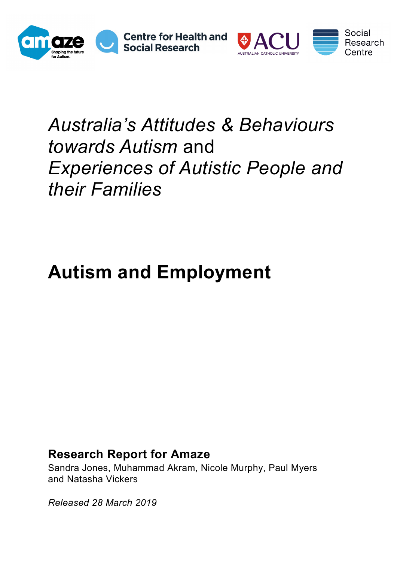



entre:

## *Australia's Attitudes & Behaviours towards Autism* and *Experiences of Autistic People and their Families*

# **Autism and Employment**

### **Research Report for Amaze**

Sandra Jones, Muhammad Akram, Nicole Murphy, Paul Myers and Natasha Vickers

*Released 28 March 2019*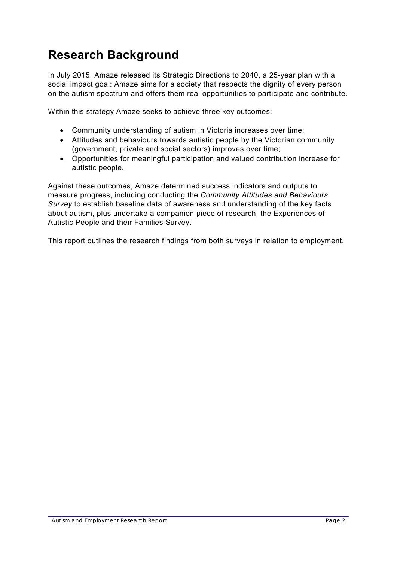## **Research Background**

In July 2015, Amaze released its Strategic Directions to 2040, a 25-year plan with a social impact goal: Amaze aims for a society that respects the dignity of every person on the autism spectrum and offers them real opportunities to participate and contribute.

Within this strategy Amaze seeks to achieve three key outcomes:

- Community understanding of autism in Victoria increases over time;
- Attitudes and behaviours towards autistic people by the Victorian community (government, private and social sectors) improves over time;
- Opportunities for meaningful participation and valued contribution increase for autistic people.

Against these outcomes, Amaze determined success indicators and outputs to measure progress, including conducting the *Community Attitudes and Behaviours Survey* to establish baseline data of awareness and understanding of the key facts about autism, plus undertake a companion piece of research, the Experiences of Autistic People and their Families Survey.

This report outlines the research findings from both surveys in relation to employment.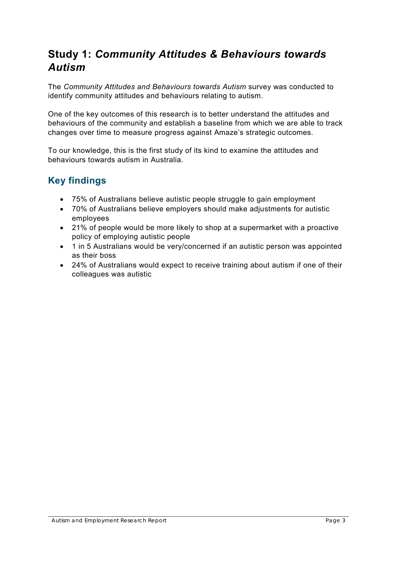### **Study 1:** *Community Attitudes & Behaviours towards Autism*

The *Community Attitudes and Behaviours towards Autism* survey was conducted to identify community attitudes and behaviours relating to autism.

One of the key outcomes of this research is to better understand the attitudes and behaviours of the community and establish a baseline from which we are able to track changes over time to measure progress against Amaze's strategic outcomes.

To our knowledge, this is the first study of its kind to examine the attitudes and behaviours towards autism in Australia.

#### **Key findings**

- 75% of Australians believe autistic people struggle to gain employment
- 70% of Australians believe employers should make adjustments for autistic employees
- 21% of people would be more likely to shop at a supermarket with a proactive policy of employing autistic people
- 1 in 5 Australians would be very/concerned if an autistic person was appointed as their boss
- 24% of Australians would expect to receive training about autism if one of their colleagues was autistic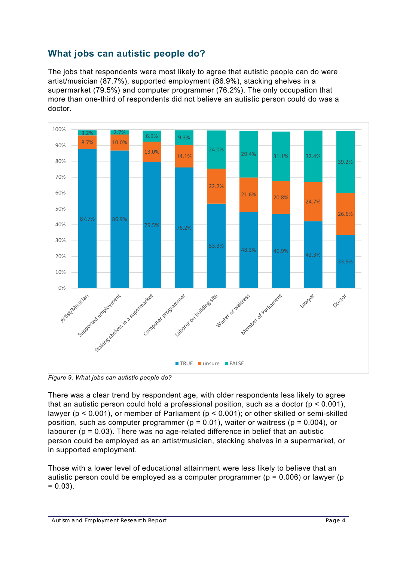#### **What jobs can autistic people do?**

The jobs that respondents were most likely to agree that autistic people can do were artist/musician (87.7%), supported employment (86.9%), stacking shelves in a supermarket (79.5%) and computer programmer (76.2%). The only occupation that more than one-third of respondents did not believe an autistic person could do was a doctor.



*Figure 9. What jobs can autistic people do?*

There was a clear trend by respondent age, with older respondents less likely to agree that an autistic person could hold a professional position, such as a doctor ( $p < 0.001$ ), lawyer (p < 0.001), or member of Parliament (p < 0.001); or other skilled or semi-skilled position, such as computer programmer ( $p = 0.01$ ), waiter or waitress ( $p = 0.004$ ), or labourer ( $p = 0.03$ ). There was no age-related difference in belief that an autistic person could be employed as an artist/musician, stacking shelves in a supermarket, or in supported employment.

Those with a lower level of educational attainment were less likely to believe that an autistic person could be employed as a computer programmer ( $p = 0.006$ ) or lawyer ( $p = 0.006$ )  $= 0.03$ ).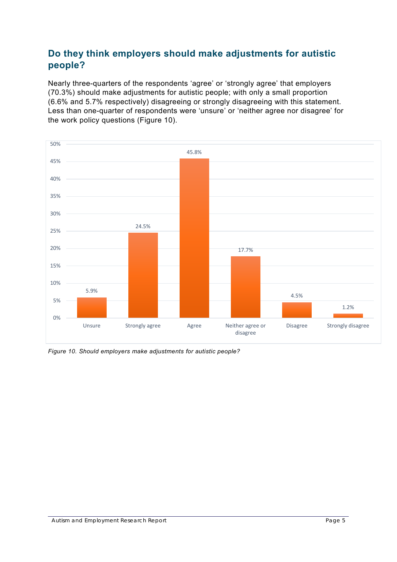#### **Do they think employers should make adjustments for autistic people?**

Nearly three-quarters of the respondents 'agree' or 'strongly agree' that employers (70.3%) should make adjustments for autistic people; with only a small proportion (6.6% and 5.7% respectively) disagreeing or strongly disagreeing with this statement. Less than one-quarter of respondents were 'unsure' or 'neither agree nor disagree' for the work policy questions (Figure 10).



*Figure 10. Should employers make adjustments for autistic people?*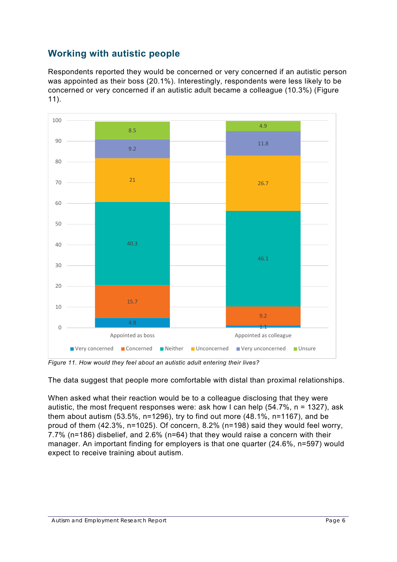#### **Working with autistic people**

Respondents reported they would be concerned or very concerned if an autistic person was appointed as their boss (20.1%). Interestingly, respondents were less likely to be concerned or very concerned if an autistic adult became a colleague (10.3%) (Figure 11).



*Figure 11. How would they feel about an autistic adult entering their lives?*

The data suggest that people more comfortable with distal than proximal relationships.

When asked what their reaction would be to a colleague disclosing that they were autistic, the most frequent responses were: ask how I can help (54.7%, n = 1327), ask them about autism  $(53.5\% , n=1296)$ , try to find out more  $(48.1\% , n=1167)$ , and be proud of them (42.3%, n=1025). Of concern, 8.2% (n=198) said they would feel worry, 7.7% (n=186) disbelief, and 2.6% (n=64) that they would raise a concern with their manager. An important finding for employers is that one quarter (24.6%, n=597) would expect to receive training about autism.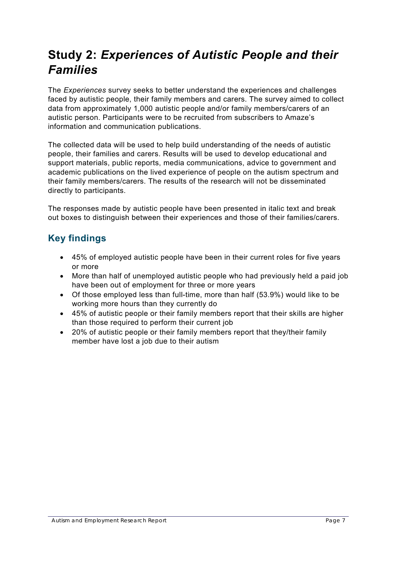## **Study 2:** *Experiences of Autistic People and their Families*

The *Experiences* survey seeks to better understand the experiences and challenges faced by autistic people, their family members and carers. The survey aimed to collect data from approximately 1,000 autistic people and/or family members/carers of an autistic person. Participants were to be recruited from subscribers to Amaze's information and communication publications.

The collected data will be used to help build understanding of the needs of autistic people, their families and carers. Results will be used to develop educational and support materials, public reports, media communications, advice to government and academic publications on the lived experience of people on the autism spectrum and their family members/carers. The results of the research will not be disseminated directly to participants.

The responses made by autistic people have been presented in italic text and break out boxes to distinguish between their experiences and those of their families/carers.

#### **Key findings**

- 45% of employed autistic people have been in their current roles for five years or more
- More than half of unemployed autistic people who had previously held a paid job have been out of employment for three or more years
- Of those employed less than full-time, more than half (53.9%) would like to be working more hours than they currently do
- 45% of autistic people or their family members report that their skills are higher than those required to perform their current job
- 20% of autistic people or their family members report that they/their family member have lost a job due to their autism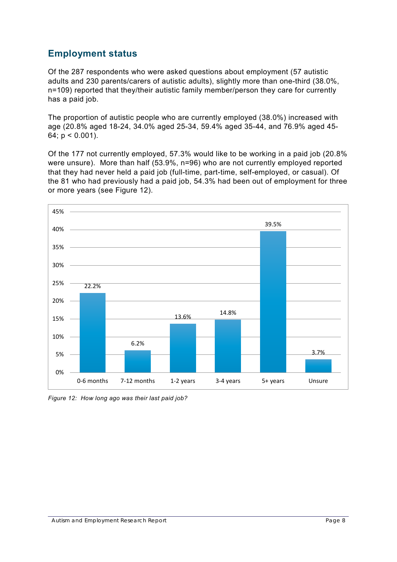#### **Employment status**

Of the 287 respondents who were asked questions about employment (57 autistic adults and 230 parents/carers of autistic adults), slightly more than one-third (38.0%, n=109) reported that they/their autistic family member/person they care for currently has a paid job.

The proportion of autistic people who are currently employed (38.0%) increased with age (20.8% aged 18-24, 34.0% aged 25-34, 59.4% aged 35-44, and 76.9% aged 45- 64;  $p < 0.001$ ).

Of the 177 not currently employed, 57.3% would like to be working in a paid job (20.8% were unsure). More than half (53.9%, n=96) who are not currently employed reported that they had never held a paid job (full-time, part-time, self-employed, or casual). Of the 81 who had previously had a paid job, 54.3% had been out of employment for three or more years (see Figure 12).



*Figure 12: How long ago was their last paid job?*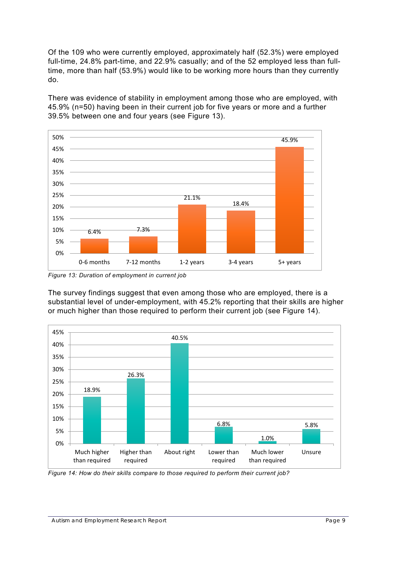Of the 109 who were currently employed, approximately half (52.3%) were employed full-time, 24.8% part-time, and 22.9% casually; and of the 52 employed less than fulltime, more than half (53.9%) would like to be working more hours than they currently do.

There was evidence of stability in employment among those who are employed, with 45.9% (n=50) having been in their current job for five years or more and a further 39.5% between one and four years (see Figure 13).



*Figure 13: Duration of employment in current job*

The survey findings suggest that even among those who are employed, there is a substantial level of under-employment, with 45.2% reporting that their skills are higher or much higher than those required to perform their current job (see Figure 14).



*Figure 14: How do their skills compare to those required to perform their current job?*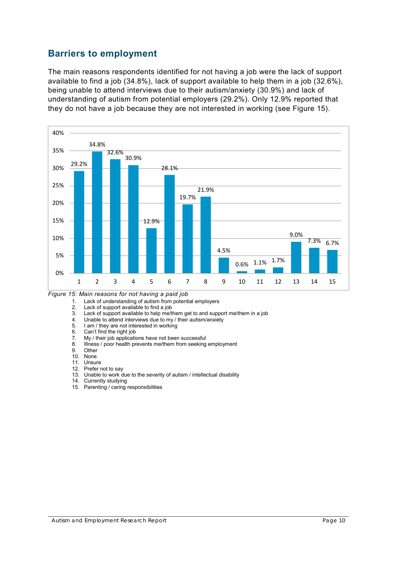#### **Barriers to employment**

The main reasons respondents identified for not having a job were the lack of support available to find a job (34.8%), lack of support available to help them in a job (32.6%), being unable to attend interviews due to their autism/anxiety (30.9%) and lack of understanding of autism from potential employers (29.2%). Only 12.9% reported that they do not have a job because they are not interested in working (see Figure 15).



*Figure 15: Main reasons for not having a paid job*

- 1. Lack of understanding of autism from potential employers
- 2. Lack of support available to find a job<br>3. Lack of support available to help me/t
- 3. Lack of support available to help me/them get to and support me/them in a job<br>4. Unable to attend interviews due to my / their autism/anxiety
- 4. Unable to attend interviews due to my / their autism/anxiety<br>5. I am / they are not interested in working
- 5. I am / they are not interested in working<br>6. Can't find the right job
- 6. Can't find the right job<br>7 My / their job application
- 7. My / their job applications have not been successful<br>8. Illness / poor health prevents me/them from seeking
- 8. Illness / poor health prevents me/them from seeking employment 9. Other
- 9. Other<br>10. None
- **None**
- 11. Unsure
- 12. Prefer not to say
- 13. Unable to work due to the severity of autism / intellectual disability
- 14. Currently studying
- 15. Parenting / caring responsibilities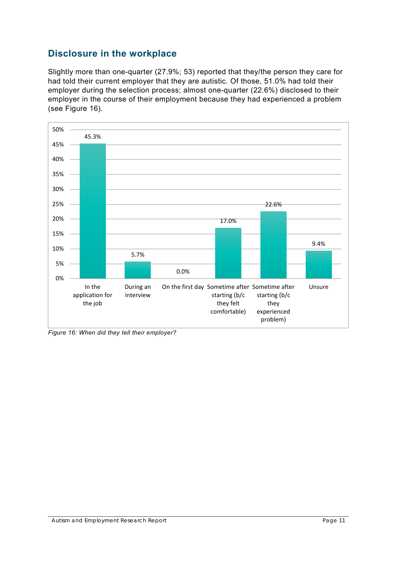#### **Disclosure in the workplace**

Slightly more than one-quarter (27.9%; 53) reported that they/the person they care for had told their current employer that they are autistic. Of those, 51.0% had told their employer during the selection process; almost one-quarter (22.6%) disclosed to their employer in the course of their employment because they had experienced a problem (see Figure 16).



*Figure 16: When did they tell their employer?*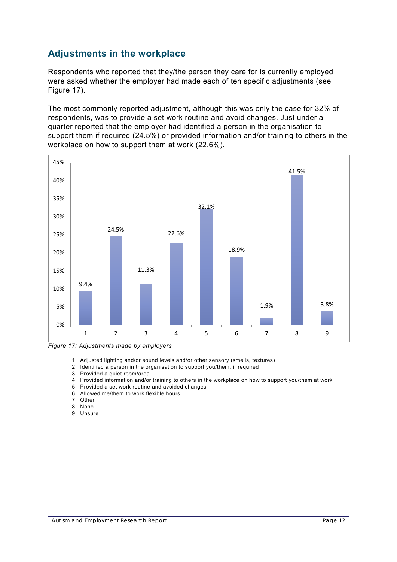#### **Adjustments in the workplace**

Respondents who reported that they/the person they care for is currently employed were asked whether the employer had made each of ten specific adjustments (see Figure 17).

The most commonly reported adjustment, although this was only the case for 32% of respondents, was to provide a set work routine and avoid changes. Just under a quarter reported that the employer had identified a person in the organisation to support them if required (24.5%) or provided information and/or training to others in the workplace on how to support them at work (22.6%).



*Figure 17: Adjustments made by employers*

- 1. Adjusted lighting and/or sound levels and/or other sensory (smells, textures)
- 2. Identified a person in the organisation to support you/them, if required
- 3. Provided a quiet room/area
- 4. Provided information and/or training to others in the workplace on how to support you/them at work
- 5. Provided a set work routine and avoided changes
- 6. Allowed me/them to work flexible hours
- 7. Other
- 8. None
- 9. Unsure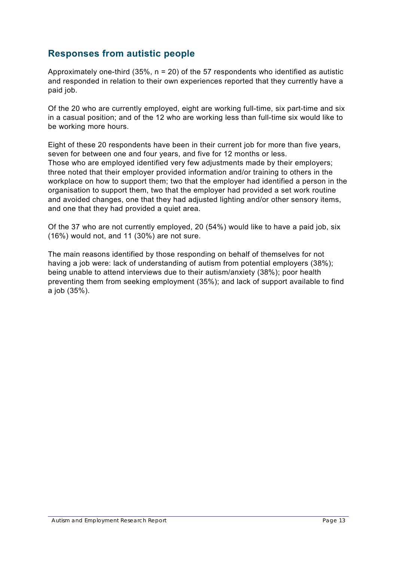#### **Responses from autistic people**

Approximately one-third (35%,  $n = 20$ ) of the 57 respondents who identified as autistic and responded in relation to their own experiences reported that they currently have a paid job.

Of the 20 who are currently employed, eight are working full-time, six part-time and six in a casual position; and of the 12 who are working less than full-time six would like to be working more hours.

Eight of these 20 respondents have been in their current job for more than five years, seven for between one and four years, and five for 12 months or less. Those who are employed identified very few adjustments made by their employers; three noted that their employer provided information and/or training to others in the workplace on how to support them; two that the employer had identified a person in the organisation to support them, two that the employer had provided a set work routine and avoided changes, one that they had adjusted lighting and/or other sensory items, and one that they had provided a quiet area.

Of the 37 who are not currently employed, 20 (54%) would like to have a paid job, six (16%) would not, and 11 (30%) are not sure.

The main reasons identified by those responding on behalf of themselves for not having a job were: lack of understanding of autism from potential employers (38%); being unable to attend interviews due to their autism/anxiety (38%); poor health preventing them from seeking employment (35%); and lack of support available to find a job (35%).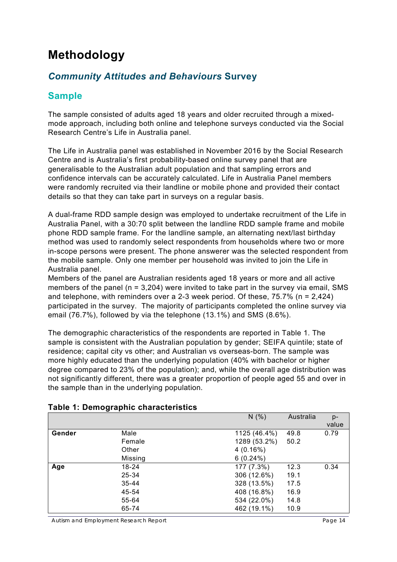## **Methodology**

#### *Community Attitudes and Behaviours* **Survey**

#### **Sample**

The sample consisted of adults aged 18 years and older recruited through a mixedmode approach, including both online and telephone surveys conducted via the Social Research Centre's Life in Australia panel.

The Life in Australia panel was established in November 2016 by the Social Research Centre and is Australia's first probability-based online survey panel that are generalisable to the Australian adult population and that sampling errors and confidence intervals can be accurately calculated. Life in Australia Panel members were randomly recruited via their landline or mobile phone and provided their contact details so that they can take part in surveys on a regular basis.

A dual-frame RDD sample design was employed to undertake recruitment of the Life in Australia Panel, with a 30:70 split between the landline RDD sample frame and mobile phone RDD sample frame. For the landline sample, an alternating next/last birthday method was used to randomly select respondents from households where two or more in-scope persons were present. The phone answerer was the selected respondent from the mobile sample. Only one member per household was invited to join the Life in Australia panel.

Members of the panel are Australian residents aged 18 years or more and all active members of the panel ( $n = 3,204$ ) were invited to take part in the survey via email, SMS and telephone, with reminders over a 2-3 week period. Of these, 75.7% (n = 2,424) participated in the survey. The majority of participants completed the online survey via email (76.7%), followed by via the telephone (13.1%) and SMS (8.6%).

The demographic characteristics of the respondents are reported in Table 1. The sample is consistent with the Australian population by gender; SEIFA quintile; state of residence; capital city vs other; and Australian vs overseas-born. The sample was more highly educated than the underlying population (40% with bachelor or higher degree compared to 23% of the population); and, while the overall age distribution was not significantly different, there was a greater proportion of people aged 55 and over in the sample than in the underlying population.

|        |         | N(% )        | Australia | $p-$<br>value |
|--------|---------|--------------|-----------|---------------|
| Gender | Male    | 1125 (46.4%) | 49.8      | 0.79          |
|        | Female  | 1289 (53.2%) | 50.2      |               |
|        | Other   | 4(0.16%)     |           |               |
|        | Missing | $6(0.24\%)$  |           |               |
| Age    | 18-24   | 177 (7.3%)   | 12.3      | 0.34          |
|        | 25-34   | 306 (12.6%)  | 19.1      |               |
|        | 35-44   | 328 (13.5%)  | 17.5      |               |
|        | 45-54   | 408 (16.8%)  | 16.9      |               |
|        | 55-64   | 534 (22.0%)  | 14.8      |               |
|        | 65-74   | 462 (19.1%)  | 10.9      |               |

#### **Table 1: Demographic characteristics**

Autism and Employment Research Report **Page 14** and Employment Research Report **Page 14**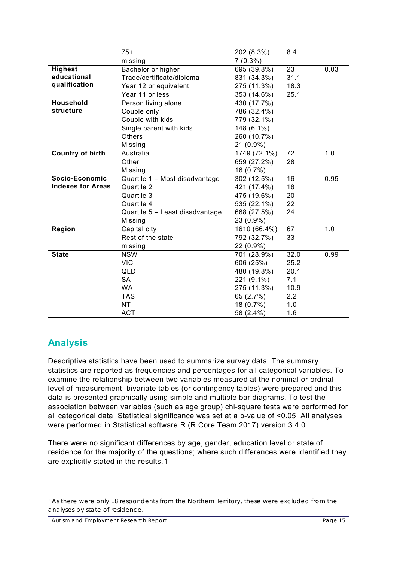|                          | $75+$                           | 202 (8.3%)   | 8.4  |      |
|--------------------------|---------------------------------|--------------|------|------|
|                          | missing                         | $7(0.3\%)$   |      |      |
| <b>Highest</b>           | Bachelor or higher              | 695 (39.8%)  | 23   | 0.03 |
| educational              | Trade/certificate/diploma       | 831 (34.3%)  | 31.1 |      |
| qualification            | Year 12 or equivalent           | 275 (11.3%)  | 18.3 |      |
|                          | Year 11 or less                 | 353 (14.6%)  | 25.1 |      |
| Household                | Person living alone             | 430 (17.7%)  |      |      |
| structure                | Couple only                     | 786 (32.4%)  |      |      |
|                          | Couple with kids                | 779 (32.1%)  |      |      |
|                          | Single parent with kids         | 148 (6.1%)   |      |      |
|                          | <b>Others</b>                   | 260 (10.7%)  |      |      |
|                          | Missing                         | 21 (0.9%)    |      |      |
| <b>Country of birth</b>  | Australia                       | 1749 (72.1%) | 72   | 1.0  |
|                          | Other                           | 659 (27.2%)  | 28   |      |
|                          | Missing                         | 16 (0.7%)    |      |      |
| Socio-Economic           | Quartile 1 - Most disadvantage  | 302 (12.5%)  | 16   | 0.95 |
| <b>Indexes for Areas</b> | Quartile 2                      | 421 (17.4%)  | 18   |      |
|                          | Quartile 3                      | 475 (19.6%)  | 20   |      |
|                          | Quartile 4                      | 535 (22.1%)  | 22   |      |
|                          | Quartile 5 - Least disadvantage | 668 (27.5%)  | 24   |      |
|                          | Missing                         | 23 (0.9%)    |      |      |
| Region                   | Capital city                    | 1610 (66.4%) | 67   | 1.0  |
|                          | Rest of the state               | 792 (32.7%)  | 33   |      |
|                          | missing                         | 22 (0.9%)    |      |      |
| <b>State</b>             | <b>NSW</b>                      | 701 (28.9%)  | 32.0 | 0.99 |
|                          | <b>VIC</b>                      | 606 (25%)    | 25.2 |      |
|                          | QLD                             | 480 (19.8%)  | 20.1 |      |
|                          | <b>SA</b>                       | 221 (9.1%)   | 7.1  |      |
|                          | <b>WA</b>                       | 275 (11.3%)  | 10.9 |      |
|                          | <b>TAS</b>                      | 65 (2.7%)    | 2.2  |      |
|                          | <b>NT</b>                       | 18 (0.7%)    | 1.0  |      |
|                          | <b>ACT</b>                      | 58 (2.4%)    | 1.6  |      |

#### **Analysis**

-

Descriptive statistics have been used to summarize survey data. The summary statistics are reported as frequencies and percentages for all categorical variables. To examine the relationship between two variables measured at the nominal or ordinal level of measurement, bivariate tables (or contingency tables) were prepared and this data is presented graphically using simple and multiple bar diagrams. To test the association between variables (such as age group) chi-square tests were performed for all categorical data. Statistical significance was set at a p-value of <0.05. All analyses were performed in Statistical software R (R Core Team 2017) version 3.4.0

There were no significant differences by age, gender, education level or state of residence for the majority of the questions; where such differences were identified they are explicitly stated in the results.[1](#page-14-0)

<span id="page-14-0"></span><sup>&</sup>lt;sup>1</sup> As there were only 18 respondents from the Northern Territory, these were excluded from the analyses by state of residence.

Autism and Employment Research Report **Page 15** and Employment Research Report **Page 15**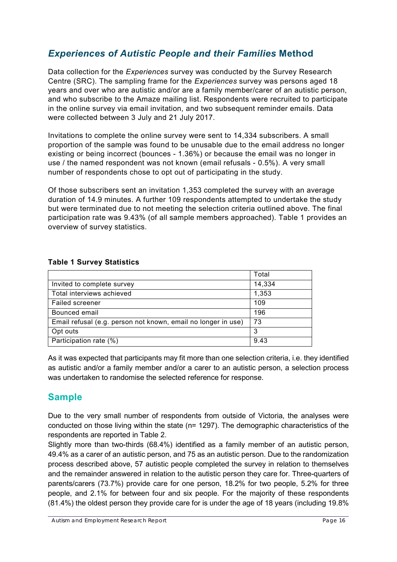#### *Experiences of Autistic People and their Families* **Method**

Data collection for the *Experiences* survey was conducted by the Survey Research Centre (SRC). The sampling frame for the *Experiences* survey was persons aged 18 years and over who are autistic and/or are a family member/carer of an autistic person, and who subscribe to the Amaze mailing list. Respondents were recruited to participate in the online survey via email invitation, and two subsequent reminder emails. Data were collected between 3 July and 21 July 2017.

Invitations to complete the online survey were sent to 14,334 subscribers. A small proportion of the sample was found to be unusable due to the email address no longer existing or being incorrect (bounces - 1.36%) or because the email was no longer in use / the named respondent was not known (email refusals - 0.5%). A very small number of respondents chose to opt out of participating in the study.

Of those subscribers sent an invitation 1,353 completed the survey with an average duration of 14.9 minutes. A further 109 respondents attempted to undertake the study but were terminated due to not meeting the selection criteria outlined above. The final participation rate was 9.43% (of all sample members approached). Table 1 provides an overview of survey statistics.

|  |  | <b>Table 1 Survey Statistics</b> |  |
|--|--|----------------------------------|--|
|  |  |                                  |  |

|                                                               | Total  |
|---------------------------------------------------------------|--------|
| Invited to complete survey                                    | 14,334 |
| Total interviews achieved                                     | 1,353  |
| Failed screener                                               | 109    |
| Bounced email                                                 | 196    |
| Email refusal (e.g. person not known, email no longer in use) | 73     |
| Opt outs                                                      | 3      |
| Participation rate (%)                                        | 9.43   |

As it was expected that participants may fit more than one selection criteria, i.e. they identified as autistic and/or a family member and/or a carer to an autistic person, a selection process was undertaken to randomise the selected reference for response.

#### **Sample**

Due to the very small number of respondents from outside of Victoria, the analyses were conducted on those living within the state (n= 1297). The demographic characteristics of the respondents are reported in Table 2.

Slightly more than two-thirds (68.4%) identified as a family member of an autistic person, 49.4% as a carer of an autistic person, and 75 as an autistic person. Due to the randomization process described above, 57 autistic people completed the survey in relation to themselves and the remainder answered in relation to the autistic person they care for. Three-quarters of parents/carers (73.7%) provide care for one person, 18.2% for two people, 5.2% for three people, and 2.1% for between four and six people. For the majority of these respondents (81.4%) the oldest person they provide care for is under the age of 18 years (including 19.8%